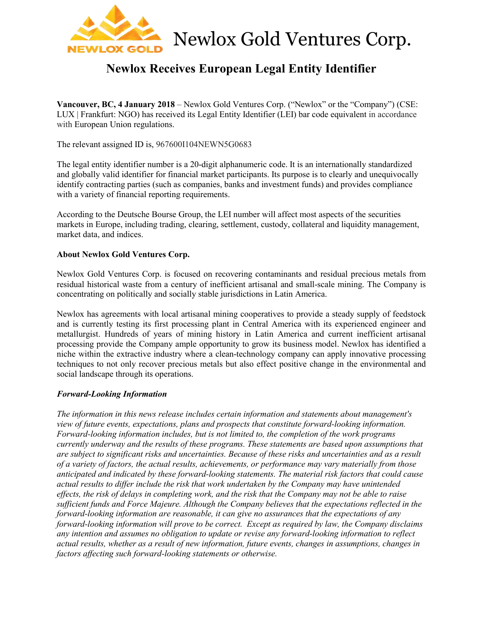

# **Newlox Receives European Legal Entity Identifier**

**Vancouver, BC, 4 January 2018** – Newlox Gold Ventures Corp. ("Newlox" or the "Company") (CSE: LUX | Frankfurt: NGO) has received its Legal Entity Identifier (LEI) bar code equivalent in accordance with European Union regulations.

The relevant assigned ID is, 967600I104NEWN5G0683

The legal entity identifier number is a 20-digit alphanumeric code. It is an internationally standardized and globally valid identifier for financial market participants. Its purpose is to clearly and unequivocally identify contracting parties (such as companies, banks and investment funds) and provides compliance with a variety of financial reporting requirements.

According to the Deutsche Bourse Group, the LEI number will affect most aspects of the securities markets in Europe, including trading, clearing, settlement, custody, collateral and liquidity management, market data, and indices.

# **About Newlox Gold Ventures Corp.**

Newlox Gold Ventures Corp. is focused on recovering contaminants and residual precious metals from residual historical waste from a century of inefficient artisanal and small-scale mining. The Company is concentrating on politically and socially stable jurisdictions in Latin America.

Newlox has agreements with local artisanal mining cooperatives to provide a steady supply of feedstock and is currently testing its first processing plant in Central America with its experienced engineer and metallurgist. Hundreds of years of mining history in Latin America and current inefficient artisanal processing provide the Company ample opportunity to grow its business model. Newlox has identified a niche within the extractive industry where a clean-technology company can apply innovative processing techniques to not only recover precious metals but also effect positive change in the environmental and social landscape through its operations.

### *Forward-Looking Information*

*The information in this news release includes certain information and statements about management's view of future events, expectations, plans and prospects that constitute forward-looking information. Forward-looking information includes, but is not limited to, the completion of the work programs currently underway and the results of these programs. These statements are based upon assumptions that are subject to significant risks and uncertainties. Because of these risks and uncertainties and as a result of a variety of factors, the actual results, achievements, or performance may vary materially from those anticipated and indicated by these forward-looking statements. The material risk factors that could cause actual results to differ include the risk that work undertaken by the Company may have unintended effects, the risk of delays in completing work, and the risk that the Company may not be able to raise sufficient funds and Force Majeure. Although the Company believes that the expectations reflected in the forward-looking information are reasonable, it can give no assurances that the expectations of any forward-looking information will prove to be correct. Except as required by law, the Company disclaims any intention and assumes no obligation to update or revise any forward-looking information to reflect actual results, whether as a result of new information, future events, changes in assumptions, changes in factors affecting such forward-looking statements or otherwise.*